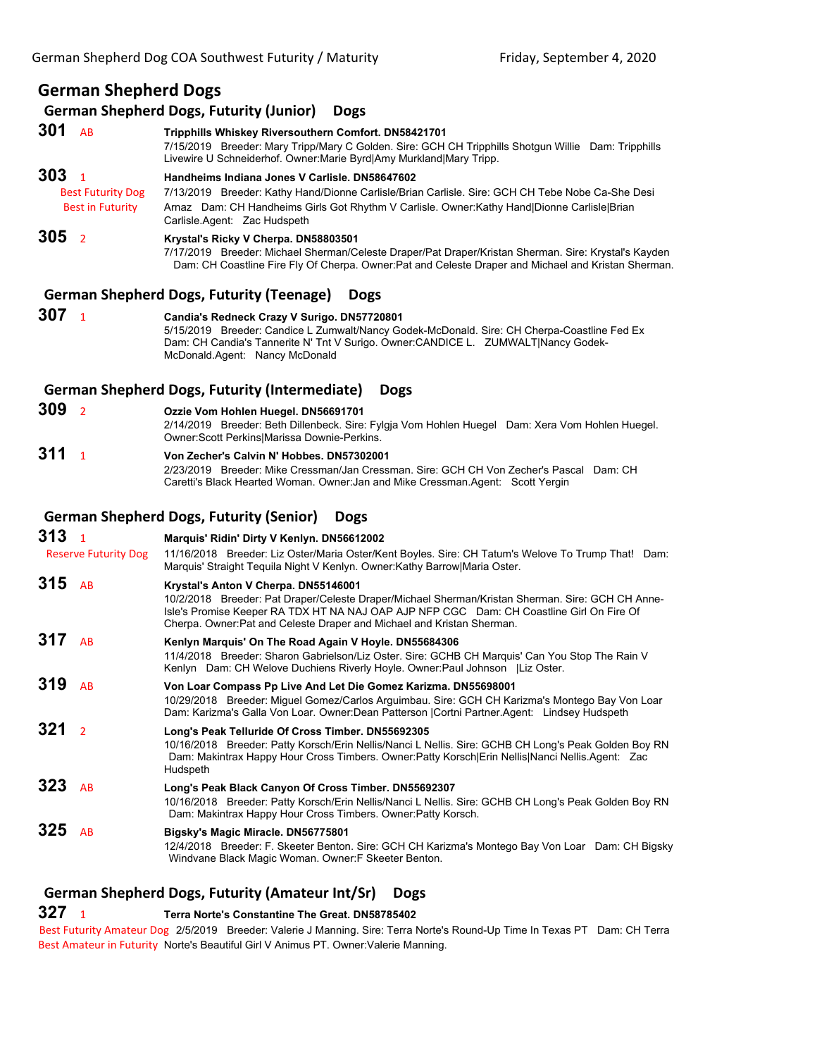# **German Shepherd Dogs**

## **German Shepherd Dogs, Futurity (Junior) Dogs**

**301** AB **Tripphills Whiskey Riversouthern Comfort. DN58421701** 7/15/2019 Breeder: Mary Tripp/Mary C Golden. Sire: GCH CH Tripphills Shotgun Willie Dam: Tripphills Livewire U Schneiderhof. Owner:Marie Byrd|Amy Murkland|Mary Tripp. **303** <sup>1</sup> **Handheims Indiana Jones V Carlisle. DN58647602** Best Futurity Dog 7/13/2019 Breeder: Kathy Hand/Dionne Carlisle/Brian Carlisle. Sire: GCH CH Tebe Nobe Ca-She Desi Best in Futurity Arnaz Dam: CH Handheims Girls Got Rhythm V Carlisle. Owner: Kathy Hand|Dionne Carlisle|Brian Carlisle.Agent: Zac Hudspeth **305** <sup>2</sup> **Krystal's Ricky V Cherpa. DN58803501**

7/17/2019 Breeder: Michael Sherman/Celeste Draper/Pat Draper/Kristan Sherman. Sire: Krystal's Kayden Dam: CH Coastline Fire Fly Of Cherpa. Owner:Pat and Celeste Draper and Michael and Kristan Sherman.

#### **German Shepherd Dogs, Futurity (Teenage) Dogs**

**307** <sup>1</sup> **Candia's Redneck Crazy V Surigo. DN57720801** 5/15/2019 Breeder: Candice L Zumwalt/Nancy Godek-McDonald. Sire: CH Cherpa-Coastline Fed Ex Dam: CH Candia's Tannerite N' Tnt V Surigo. Owner:CANDICE L. ZUMWALT|Nancy Godek-McDonald.Agent: Nancy McDonald

#### **German Shepherd Dogs, Futurity (Intermediate) Dogs**

**309** <sup>2</sup> **Ozzie Vom Hohlen Huegel. DN56691701**

2/14/2019 Breeder: Beth Dillenbeck. Sire: Fylgja Vom Hohlen Huegel Dam: Xera Vom Hohlen Huegel. Owner:Scott Perkins|Marissa Downie-Perkins.

**311** <sup>1</sup> **Von Zecher's Calvin N' Hobbes. DN57302001** 2/23/2019 Breeder: Mike Cressman/Jan Cressman. Sire: GCH CH Von Zecher's Pascal Dam: CH Caretti's Black Hearted Woman. Owner:Jan and Mike Cressman.Agent: Scott Yergin

## **German Shepherd Dogs, Futurity (Senior) Dogs**

**313** <sup>1</sup> **Marquis' Ridin' Dirty V Kenlyn. DN56612002** Reserve Futurity Dog 11/16/2018 Breeder: Liz Oster/Maria Oster/Kent Boyles. Sire: CH Tatum's Welove To Trump That! Dam: Marquis' Straight Tequila Night V Kenlyn. Owner:Kathy Barrow|Maria Oster. **315** AB **Krystal's Anton V Cherpa. DN55146001** 10/2/2018 Breeder: Pat Draper/Celeste Draper/Michael Sherman/Kristan Sherman. Sire: GCH CH Anne-Isle's Promise Keeper RA TDX HT NA NAJ OAP AJP NFP CGC Dam: CH Coastline Girl On Fire Of Cherpa. Owner:Pat and Celeste Draper and Michael and Kristan Sherman. **317** AB **Kenlyn Marquis' On The Road Again V Hoyle. DN55684306** 11/4/2018 Breeder: Sharon Gabrielson/Liz Oster. Sire: GCHB CH Marquis' Can You Stop The Rain V Kenlyn Dam: CH Welove Duchiens Riverly Hoyle. Owner:Paul Johnson |Liz Oster. **319** AB **Von Loar Compass Pp Live And Let Die Gomez Karizma. DN55698001** 10/29/2018 Breeder: Miguel Gomez/Carlos Arguimbau. Sire: GCH CH Karizma's Montego Bay Von Loar Dam: Karizma's Galla Von Loar. Owner:Dean Patterson |Cortni Partner.Agent: Lindsey Hudspeth **321** <sup>2</sup> **Long's Peak Telluride Of Cross Timber. DN55692305** 10/16/2018 Breeder: Patty Korsch/Erin Nellis/Nanci L Nellis. Sire: GCHB CH Long's Peak Golden Boy RN Dam: Makintrax Happy Hour Cross Timbers. Owner:Patty Korsch|Erin Nellis|Nanci Nellis.Agent: Zac Hudspeth **323** AB **Long's Peak Black Canyon Of Cross Timber. DN55692307** 10/16/2018 Breeder: Patty Korsch/Erin Nellis/Nanci L Nellis. Sire: GCHB CH Long's Peak Golden Boy RN Dam: Makintrax Happy Hour Cross Timbers. Owner:Patty Korsch. **325** AB **Bigsky's Magic Miracle. DN56775801** 12/4/2018 Breeder: F. Skeeter Benton. Sire: GCH CH Karizma's Montego Bay Von Loar Dam: CH Bigsky Windvane Black Magic Woman. Owner:F Skeeter Benton.

# **German Shepherd Dogs, Futurity (Amateur Int/Sr) Dogs**

## **327** <sup>1</sup> **Terra Norte's Constantine The Great. DN58785402**

Best Futurity Amateur Dog 2/5/2019 Breeder: Valerie J Manning. Sire: Terra Norte's Round-Up Time In Texas PT Dam: CH Terra Best Amateur in Futurity Norte's Beautiful Girl V Animus PT. Owner:Valerie Manning.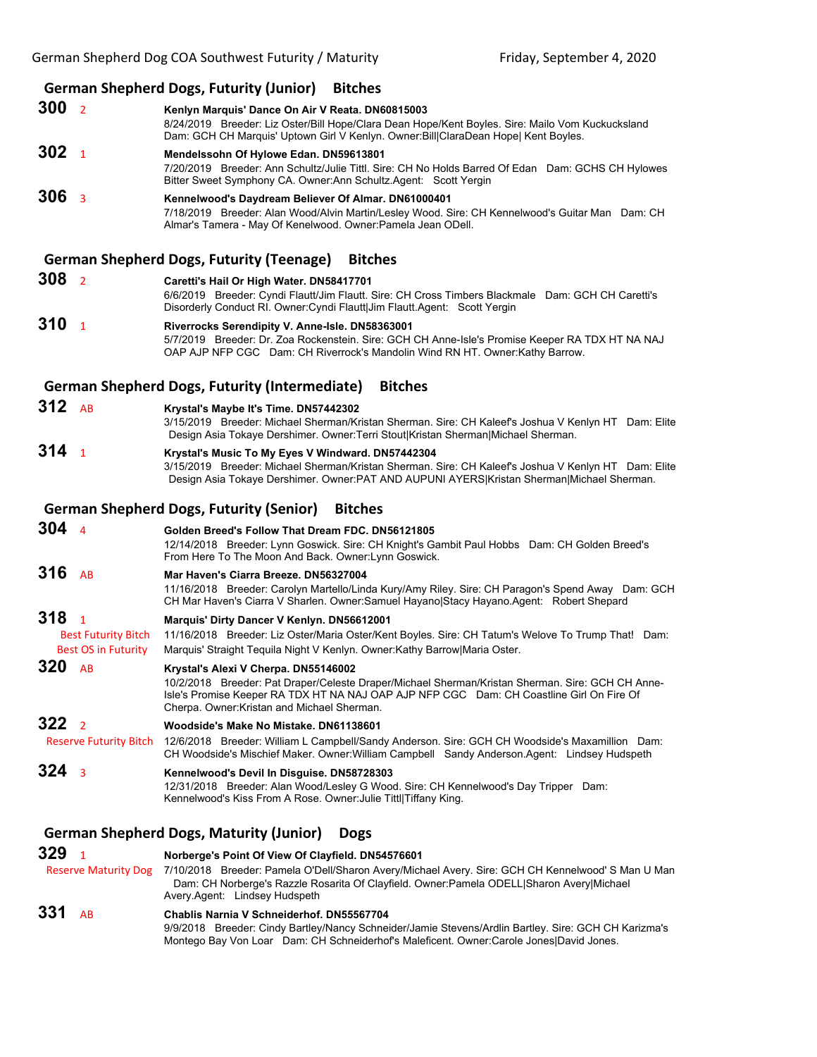- **German Shepherd Dogs, Futurity (Junior) Bitches 300** <sup>2</sup> **Kenlyn Marquis' Dance On Air V Reata. DN60815003** 8/24/2019 Breeder: Liz Oster/Bill Hope/Clara Dean Hope/Kent Boyles. Sire: Mailo Vom Kuckucksland Dam: GCH CH Marquis' Uptown Girl V Kenlyn. Owner:Bill|ClaraDean Hope| Kent Boyles. **302** <sup>1</sup> **Mendelssohn Of Hylowe Edan. DN59613801** 7/20/2019 Breeder: Ann Schultz/Julie Tittl. Sire: CH No Holds Barred Of Edan Dam: GCHS CH Hylowes Bitter Sweet Symphony CA. Owner:Ann Schultz.Agent: Scott Yergin **306** <sup>3</sup> **Kennelwood's Daydream Believer Of Almar. DN61000401** 7/18/2019 Breeder: Alan Wood/Alvin Martin/Lesley Wood. Sire: CH Kennelwood's Guitar Man Dam: CH Almar's Tamera - May Of Kenelwood. Owner:Pamela Jean ODell. **German Shepherd Dogs, Futurity (Teenage) Bitches 308** <sup>2</sup> **Caretti's Hail Or High Water. DN58417701** 6/6/2019 Breeder: Cyndi Flautt/Jim Flautt. Sire: CH Cross Timbers Blackmale Dam: GCH CH Caretti's Disorderly Conduct RI. Owner:Cyndi Flautt|Jim Flautt.Agent: Scott Yergin **310** <sup>1</sup> **Riverrocks Serendipity V. Anne-Isle. DN58363001** 5/7/2019 Breeder: Dr. Zoa Rockenstein. Sire: GCH CH Anne-Isle's Promise Keeper RA TDX HT NA NAJ OAP AJP NFP CGC Dam: CH Riverrock's Mandolin Wind RN HT. Owner:Kathy Barrow. **German Shepherd Dogs, Futurity (Intermediate) Bitches 312** AB **Krystal's Maybe It's Time. DN57442302** 3/15/2019 Breeder: Michael Sherman/Kristan Sherman. Sire: CH Kaleef's Joshua V Kenlyn HT Dam: Elite Design Asia Tokaye Dershimer. Owner:Terri Stout|Kristan Sherman|Michael Sherman. **314** <sup>1</sup> **Krystal's Music To My Eyes V Windward. DN57442304** 3/15/2019 Breeder: Michael Sherman/Kristan Sherman. Sire: CH Kaleef's Joshua V Kenlyn HT Dam: Elite Design Asia Tokaye Dershimer. Owner:PAT AND AUPUNI AYERS|Kristan Sherman|Michael Sherman. **German Shepherd Dogs, Futurity (Senior) Bitches 304** <sup>4</sup> **Golden Breed's Follow That Dream FDC. DN56121805** 12/14/2018 Breeder: Lynn Goswick. Sire: CH Knight's Gambit Paul Hobbs Dam: CH Golden Breed's
- From Here To The Moon And Back. Owner:Lynn Goswick. **316** AB **Mar Haven's Ciarra Breeze. DN56327004** 11/16/2018 Breeder: Carolyn Martello/Linda Kury/Amy Riley. Sire: CH Paragon's Spend Away Dam: GCH CH Mar Haven's Ciarra V Sharlen. Owner:Samuel Hayano|Stacy Hayano.Agent: Robert Shepard
- **318** <sup>1</sup> **Marquis' Dirty Dancer V Kenlyn. DN56612001**
- Best Futurity Bitch 11/16/2018 Breeder: Liz Oster/Maria Oster/Kent Boyles. Sire: CH Tatum's Welove To Trump That! Dam: Best OS in Futurity Marquis' Straight Tequila Night V Kenlyn. Owner:Kathy Barrow|Maria Oster.
- **320** AB **Krystal's Alexi V Cherpa. DN55146002** 10/2/2018 Breeder: Pat Draper/Celeste Draper/Michael Sherman/Kristan Sherman. Sire: GCH CH Anne-Isle's Promise Keeper RA TDX HT NA NAJ OAP AJP NFP CGC Dam: CH Coastline Girl On Fire Of Cherpa. Owner:Kristan and Michael Sherman.
- **322** <sup>2</sup> **Woodside's Make No Mistake. DN61138601**
- Reserve Futurity Bitch 12/6/2018 Breeder: William L Campbell/Sandy Anderson. Sire: GCH CH Woodside's Maxamillion Dam: CH Woodside's Mischief Maker. Owner:William Campbell Sandy Anderson.Agent: Lindsey Hudspeth
- **324** <sup>3</sup> **Kennelwood's Devil In Disguise. DN58728303**
	- 12/31/2018 Breeder: Alan Wood/Lesley G Wood. Sire: CH Kennelwood's Day Tripper Dam: Kennelwood's Kiss From A Rose. Owner:Julie Tittl|Tiffany King.

# **German Shepherd Dogs, Maturity (Junior) Dogs**

```
329 1 Norberge's Point Of View Of Clayfield. DN54576601
  Reserve Maturity Dog 7/10/2018 Breeder: Pamela O'Dell/Sharon Avery/Michael Avery. Sire: GCH CH Kennelwood' S Man U Man
                        Dam: CH Norberge's Razzle Rosarita Of Clayfield. Owner:Pamela ODELL|Sharon Avery|Michael 
                     Avery.Agent: Lindsey Hudspeth
331 AB Chablis Narnia V Schneiderhof. DN55567704
```
9/9/2018 Breeder: Cindy Bartley/Nancy Schneider/Jamie Stevens/Ardlin Bartley. Sire: GCH CH Karizma's Montego Bay Von Loar Dam: CH Schneiderhof's Maleficent. Owner:Carole Jones|David Jones.